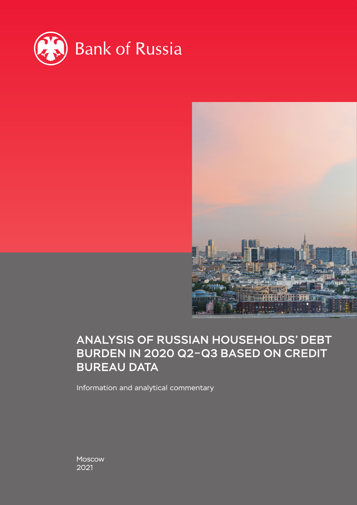



# ANALYSIS OF RUSSIAN HOUSEHOLDS' DEBT BURDEN IN 2020 Q2–Q3 BASED ON CREDIT BUREAU DATA

Information and analytical commentary

Moscow 2021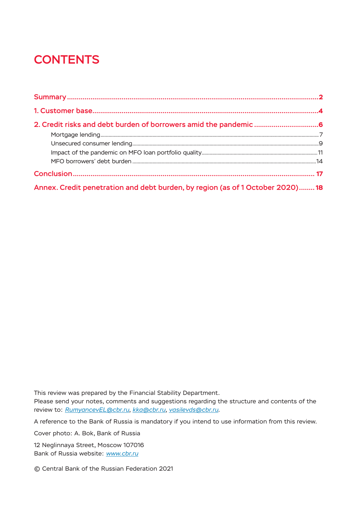# **CONTENTS**

| Annex. Credit penetration and debt burden, by region (as of 1 October 2020) 18 |  |
|--------------------------------------------------------------------------------|--|

This review was prepared by the Financial Stability Department.

Please send your notes, comments and suggestions regarding the structure and contents of the review to: *[RumyancevEL@cbr.ru](mailto:RumyancevEL%40cbr.ru?subject=%D0%97%D0%B0%D0%BC%D0%B5%D1%87%D0%B0%D0%BD%D0%B8%D1%8F%2C%20%D0%BA%D0%BE%D0%BC%D0%BC%D0%B5%D0%BD%D1%82%D0%B0%D1%80%D0%B8%D0%B8%20%D0%B8%C2%A0%D0%BF%D1%80%D0%B5%D0%B4%D0%BB%D0%BE%D0%B6%D0%B5%D0%BD%D0%B8%D1%8F)*, *[kka@cbr.ru](mailto:kka%40cbr.ru?subject=%D0%97%D0%B0%D0%BC%D0%B5%D1%87%D0%B0%D0%BD%D0%B8%D1%8F%2C%20%D0%BA%D0%BE%D0%BC%D0%BC%D0%B5%D0%BD%D1%82%D0%B0%D1%80%D0%B8%D0%B8%20%D0%B8%C2%A0%D0%BF%D1%80%D0%B5%D0%B4%D0%BB%D0%BE%D0%B6%D0%B5%D0%BD%D0%B8%D1%8F)*, *[vasilevds@cbr.ru](mailto:vasilevds%40cbr.ru?subject=%D0%97%D0%B0%D0%BC%D0%B5%D1%87%D0%B0%D0%BD%D0%B8%D1%8F%2C%20%D0%BA%D0%BE%D0%BC%D0%BC%D0%B5%D0%BD%D1%82%D0%B0%D1%80%D0%B8%D0%B8%20%D0%B8%C2%A0%D0%BF%D1%80%D0%B5%D0%B4%D0%BB%D0%BE%D0%B6%D0%B5%D0%BD%D0%B8%D1%8F)*.

A reference to the Bank of Russia is mandatory if you intend to use information from this review.

Cover photo: A. Bok, Bank of Russia

12 Neglinnaya Street, Moscow 107016 Bank of Russia website: *www.cbr.ru*

© Central Bank of the Russian Federation 2021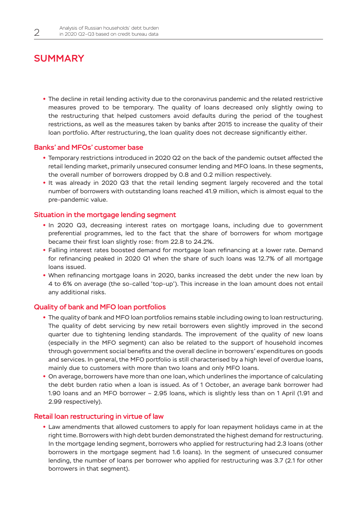## <span id="page-2-0"></span>**SUMMARY**

**•** The decline in retail lending activity due to the coronavirus pandemic and the related restrictive measures proved to be temporary. The quality of loans decreased only slightly owing to the restructuring that helped customers avoid defaults during the period of the toughest restrictions, as well as the measures taken by banks after 2015 to increase the quality of their loan portfolio. After restructuring, the loan quality does not decrease significantly either.

### Banks' and MFOs' customer base

- **•** Temporary restrictions introduced in 2020 Q2 on the back of the pandemic outset affected the retail lending market, primarily unsecured consumer lending and MFO loans. In these segments, the overall number of borrowers dropped by 0.8 and 0.2 million respectively.
- **•** It was already in 2020 Q3 that the retail lending segment largely recovered and the total number of borrowers with outstanding loans reached 41.9 million, which is almost equal to the pre-pandemic value.

#### Situation in the mortgage lending segment

- **•** In 2020 Q3, decreasing interest rates on mortgage loans, including due to government preferential programmes, led to the fact that the share of borrowers for whom mortgage became their first loan slightly rose: from 22.8 to 24.2%.
- **•** Falling interest rates boosted demand for mortgage loan refinancing at a lower rate. Demand for refinancing peaked in 2020 Q1 when the share of such loans was 12.7% of all mortgage loans issued.
- **•** When refinancing mortgage loans in 2020, banks increased the debt under the new loan by 4 to 6% on average (the so-called 'top-up'). This increase in the loan amount does not entail any additional risks.

#### Quality of bank and MFO loan portfolios

- **•** The quality of bank and MFO loan portfolios remains stable including owing to loan restructuring. The quality of debt servicing by new retail borrowers even slightly improved in the second quarter due to tightening lending standards. The improvement of the quality of new loans (especially in the MFO segment) can also be related to the support of household incomes through government social benefits and the overall decline in borrowers' expenditures on goods and services. In general, the MFO portfolio is still characterised by a high level of overdue loans, mainly due to customers with more than two loans and only MFO loans.
- **•** On average, borrowers have more than one loan, which underlines the importance of calculating the debt burden ratio when a loan is issued. As of 1 October, an average bank borrower had 1.90 loans and an MFO borrower – 2.95 loans, which is slightly less than on 1 April (1.91 and 2.99 respectively).

#### Retail loan restructuring in virtue of law

**•** Law amendments that allowed customers to apply for loan repayment holidays came in at the right time. Borrowers with high debt burden demonstrated the highest demand for restructuring. In the mortgage lending segment, borrowers who applied for restructuring had 2.3 loans (other borrowers in the mortgage segment had 1.6 loans). In the segment of unsecured consumer lending, the number of loans per borrower who applied for restructuring was 3.7 (2.1 for other borrowers in that segment).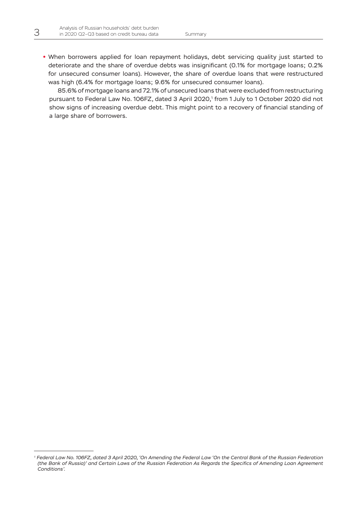**•** When borrowers applied for loan repayment holidays, debt servicing quality just started to deteriorate and the share of overdue debts was insignificant (0.1% for mortgage loans; 0.2% for unsecured consumer loans). However, the share of overdue loans that were restructured was high (6.4% for mortgage loans; 9.6% for unsecured consumer loans).

85.6% of mortgage loans and 72.1% of unsecured loans that were excluded from restructuring pursuant to Federal Law No. 106FZ, dated 3 April 2020,' from 1 July to 1 October 2020 did not show signs of increasing overdue debt. This might point to a recovery of financial standing of a large share of borrowers.

*<sup>1</sup> Federal Law No. 106FZ, dated 3 April 2020, 'On Amending the Federal Law 'On the Central Bank of the Russian Federation (the Bank of Russia)' and Certain Laws of the Russian Federation As Regards the Specifics of Amending Loan Agreement Conditions'.*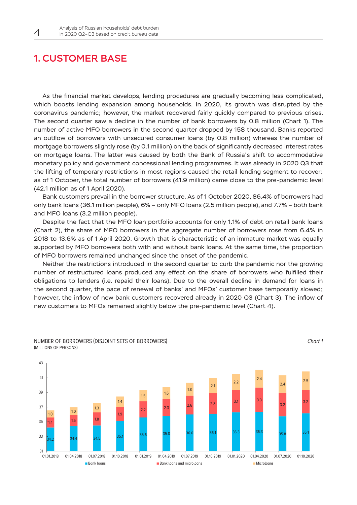## <span id="page-4-0"></span>1. CUSTOMER BASE

As the financial market develops, lending procedures are gradually becoming less complicated, which boosts lending expansion among households. In 2020, its growth was disrupted by the coronavirus pandemic; however, the market recovered fairly quickly compared to previous crises. The second quarter saw a decline in the number of bank borrowers by 0.8 million (Chart 1). The number of active MFO borrowers in the second quarter dropped by 158 thousand. Banks reported an outflow of borrowers with unsecured consumer loans (by 0.8 million) whereas the number of mortgage borrowers slightly rose (by 0.1 million) on the back of significantly decreased interest rates on mortgage loans. The latter was caused by both the Bank of Russia's shift to accommodative monetary policy and government concessional lending programmes. It was already in 2020 Q3 that the lifting of temporary restrictions in most regions caused the retail lending segment to recover: as of 1 October, the total number of borrowers (41.9 million) came close to the pre-pandemic level (42.1 million as of 1 April 2020).

Bank customers prevail in the borrower structure. As of 1 October 2020, 86.4% of borrowers had only bank loans (36.1 million people), 6% – only MFO loans (2.5 million people), and 7.7% – both bank and MFO loans (3.2 million people).

Despite the fact that the MFO loan portfolio accounts for only 1.1% of debt on retail bank loans (Chart 2), the share of MFO borrowers in the aggregate number of borrowers rose from 6.4% in 2018 to 13.6% as of 1 April 2020. Growth that is characteristic of an immature market was equally supported by MFO borrowers both with and without bank loans. At the same time, the proportion of MFO borrowers remained unchanged since the onset of the pandemic.

Neither the restrictions introduced in the second quarter to curb the pandemic nor the growing number of restructured loans produced any effect on the share of borrowers who fulfilled their obligations to lenders (i.e. repaid their loans). Due to the overall decline in demand for loans in the second quarter, the pace of renewal of banks' and MFOs' customer base temporarily slowed; however, the inflow of new bank customers recovered already in 2020 Q3 (Chart 3). The inflow of new customers to MFOs remained slightly below the pre-pandemic level (Chart 4).



(MILLIONS OF PERSONS)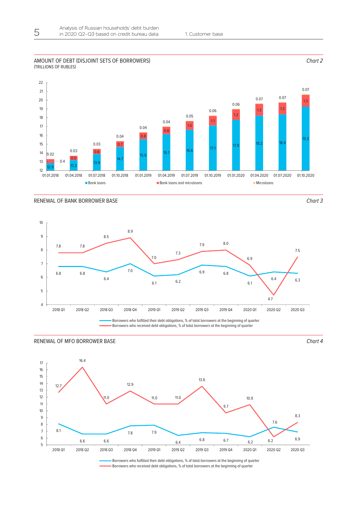### **67х170** (TRILLIONS OF RUBLES) AMOUNT OF DEBT (DISJOINT SETS OF BORROWERS)



RENEWAL OF BANK BORROWER BASE *Chart 3*

*Chart 2*





RENEWAL OF MFO BORROWER BASE *Chart 4*

Borrowers who fulfilled their debt obligations, % of total borrowers at the beginning of quarter Borrowers who received debt obligations, % of total borrowers at the beginning of quarter

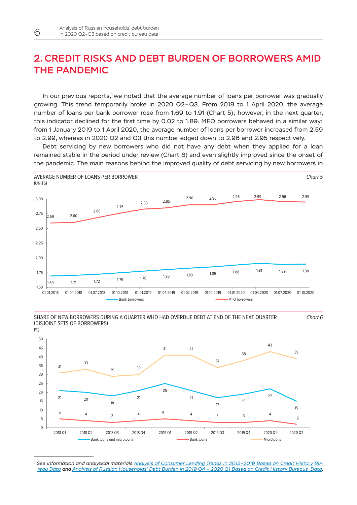## <span id="page-6-0"></span>2. CREDIT RISKS AND DEBT BURDEN OF BORROWERS AMID THE PANDEMIC

In our previous reports,<sup>1</sup> we noted that the average number of loans per borrower was gradually growing. This trend temporarily broke in 2020 Q2–Q3. From 2018 to 1 April 2020, the average number of loans per bank borrower rose from 1.69 to 1.91 (Chart 5); however, in the next quarter, this indicator declined for the first time by 0.02 to 1.89. MFO borrowers behaved in a similar way: from 1 January 2019 to 1 April 2020, the average number of loans per borrower increased from 2.59 to 2.99, whereas in 2020 Q2 and Q3 this number edged down to 2.96 and 2.95 respectively.

Debt servicing by new borrowers who did not have any debt when they applied for a loan remained stable in the period under review (Chart 6) and even slightly improved since the onset of the pandemic. The main reasons behind the improved quality of debt servicing by new borrowers in



SHARE OF NEW BORROWERS DURING A QUARTER WHO HAD OVERDUE DEBT AT END OF THE NEXT QUARTER (DISJOINT SETS OF BORROWERS)

*Chart 6*



*<sup>1</sup> See information and analytical materials [Analysis of Consumer Lending Trends in 2015–2019 Based on Credit History Bu](http://www.cbr.ru/Content/Document/File/85889/20191101_dfs.pdf)[reau Data](http://www.cbr.ru/Content/Document/File/85889/20191101_dfs.pdf) and [Analysis of Russian Households' Debt Burden in 2019 Q4 – 2020 Q1 Based on Credit History Bureaus' Data.](http://www.cbr.ru/Content/Document/File/112270/inf-material_bki_2020q1.pdf)*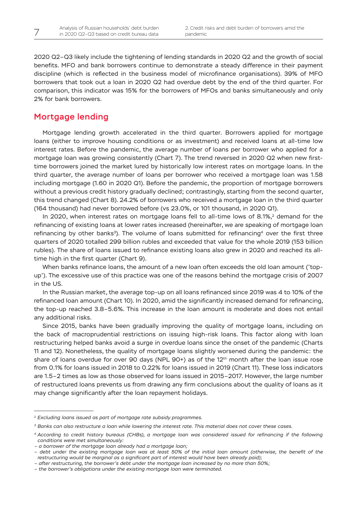<span id="page-7-0"></span>2020 Q2–Q3 likely include the tightening of lending standards in 2020 Q2 and the growth of social benefits. MFO and bank borrowers continue to demonstrate a steady difference in their payment discipline (which is reflected in the business model of microfinance organisations). 39% of MFO borrowers that took out a loan in 2020 Q2 had overdue debt by the end of the third quarter. For comparison, this indicator was 15% for the borrowers of MFOs and banks simultaneously and only 2% for bank borrowers.

## Mortgage lending

Mortgage lending growth accelerated in the third quarter. Borrowers applied for mortgage loans (either to improve housing conditions or as investment) and received loans at all-time low interest rates. Before the pandemic, the average number of loans per borrower who applied for a mortgage loan was growing consistently (Chart 7). The trend reversed in 2020 Q2 when new firsttime borrowers joined the market lured by historically low interest rates on mortgage loans. In the third quarter, the average number of loans per borrower who received a mortgage loan was 1.58 including mortgage (1.60 in 2020 Q1). Before the pandemic, the proportion of mortgage borrowers without a previous credit history gradually declined; contrastingly, starting from the second quarter, this trend changed (Chart 8). 24.2% of borrowers who received a mortgage loan in the third quarter (164 thousand) had never borrowed before (vs 23.0%, or 101 thousand, in 2020 Q1).

In 2020, when interest rates on mortgage loans fell to all-time lows of  $8.1\%$ <sup>2</sup> demand for the refinancing of existing loans at lower rates increased (hereinafter, we are speaking of mortgage loan refinancing by other banks<sup>3</sup>). The volume of loans submitted for refinancing<sup>4</sup> over the first three quarters of 2020 totalled 299 billion rubles and exceeded that value for the whole 2019 (153 billion rubles). The share of loans issued to refinance existing loans also grew in 2020 and reached its alltime high in the first quarter (Chart 9).

When banks refinance loans, the amount of a new loan often exceeds the old loan amount ('topup'). The excessive use of this practice was one of the reasons behind the mortgage crisis of 2007 in the US.

In the Russian market, the average top-up on all loans refinanced since 2019 was 4 to 10% of the refinanced loan amount (Chart 10). In 2020, amid the significantly increased demand for refinancing, the top-up reached 3.8–5.6%. This increase in the loan amount is moderate and does not entail any additional risks.

Since 2015, banks have been gradually improving the quality of mortgage loans, including on the back of macroprudential restrictions on issuing high-risk loans. This factor along with loan restructuring helped banks avoid a surge in overdue loans since the onset of the pandemic (Charts 11 and 12). Nonetheless, the quality of mortgage loans slightly worsened during the pandemic: the share of loans overdue for over 90 days (NPL 90+) as of the  $12<sup>th</sup>$  month after the loan issue rose from 0.1% for loans issued in 2018 to 0.22% for loans issued in 2019 (Chart 11). These loss indicators are 1.5–2 times as low as those observed for loans issued in 2015–2017. However, the large number of restructured loans prevents us from drawing any firm conclusions about the quality of loans as it may change significantly after the loan repayment holidays.

*<sup>2</sup> Excluding loans issued as part of mortgage rate subsidy programmes.*

*<sup>3</sup> Banks can also restructure a loan while lowering the interest rate. This material does not cover these cases.*

*<sup>4</sup> According to credit history bureaus (CHBs), a mortgage loan was considered issued for refinancing if the following conditions were met simultaneously:*

*<sup>–</sup> a borrower of the mortgage loan already had a mortgage loan;*

*<sup>–</sup> debt under the existing mortgage loan was at least 50% of the initial loan amount (otherwise, the benefit of the restructuring would be marginal as a significant part of interest would have been already paid);*

*<sup>–</sup> after restructuring, the borrower's debt under the mortgage loan increased by no more than 50%;*

*<sup>–</sup> the borrower's obligations under the existing mortgage loan were terminated.*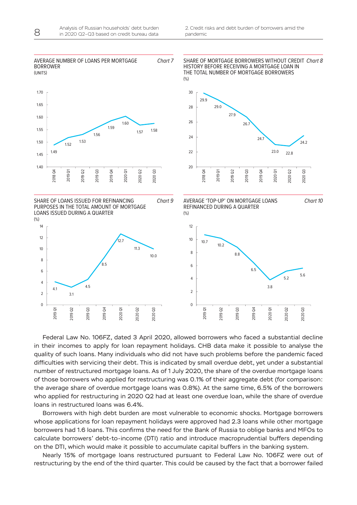

Federal Law No. 106FZ, dated 3 April 2020, allowed borrowers who faced a substantial decline in their incomes to apply for loan repayment holidays. CHB data make it possible to analyse the quality of such loans. Many individuals who did not have such problems before the pandemic faced difficulties with servicing their debt. This is indicated by small overdue debt, yet under a substantial number of restructured mortgage loans. As of 1 July 2020, the share of the overdue mortgage loans of those borrowers who applied for restructuring was 0.1% of their aggregate debt (for comparison: the average share of overdue mortgage loans was 0.8%). At the same time, 6.5% of the borrowers who applied for restructuring in 2020 Q2 had at least one overdue loan, while the share of overdue loans in restructured loans was 6.4%.

Borrowers with high debt burden are most vulnerable to economic shocks. Mortgage borrowers whose applications for loan repayment holidays were approved had 2.3 loans while other mortgage borrowers had 1.6 loans. This confirms the need for the Bank of Russia to oblige banks and MFOs to calculate borrowers' debt-to-income (DTI) ratio and introduce macroprudential buffers depending on the DTI, which would make it possible to accumulate capital buffers in the banking system.

Nearly 15% of mortgage loans restructured pursuant to Federal Law No. 106FZ were out of restructuring by the end of the third quarter. This could be caused by the fact that a borrower failed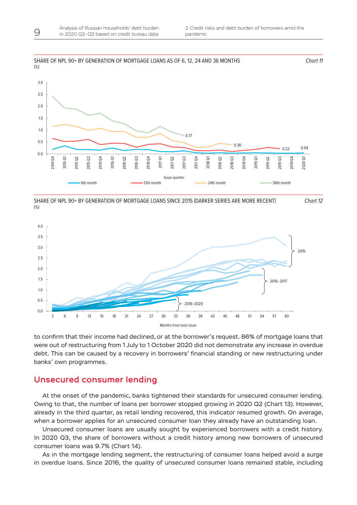<span id="page-9-0"></span>

**67х170** SHARE OF NPL 90+ BY GENERATION OF MORTGAGE LOANS SINCE 2015 (DARKER SERIES ARE MORE RECENT) (%)





to confirm that their income had declined, or at the borrower's request. 86% of mortgage loans that were out of restructuring from 1 July to 1 October 2020 did not demonstrate any increase in overdue debt. This can be caused by a recovery in borrowers' financial standing or new restructuring under banks' own programmes.

### Unsecured consumer lending

At the onset of the pandemic, banks tightened their standards for unsecured consumer lending. Owing to that, the number of loans per borrower stopped growing in 2020 Q2 (Chart 13). However, already in the third quarter, as retail lending recovered, this indicator resumed growth. On average, when a borrower applies for an unsecured consumer loan they already have an outstanding loan.

Unsecured consumer loans are usually sought by experienced borrowers with a credit history. In 2020 Q3, the share of borrowers without a credit history among new borrowers of unsecured consumer loans was 9.7% (Chart 14).

As in the mortgage lending segment, the restructuring of consumer loans helped avoid a surge in overdue loans. Since 2016, the quality of unsecured consumer loans remained stable, including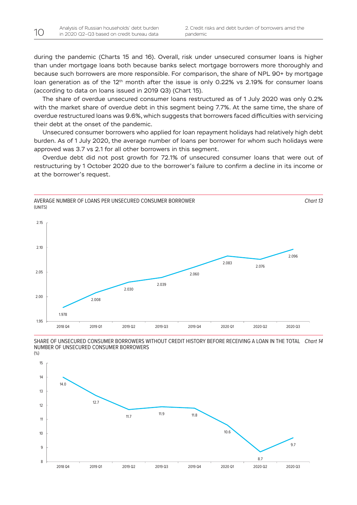during the pandemic (Charts 15 and 16). Overall, risk under unsecured consumer loans is higher than under mortgage loans both because banks select mortgage borrowers more thoroughly and because such borrowers are more responsible. For comparison, the share of NPL 90+ by mortgage loan generation as of the 12<sup>th</sup> month after the issue is only 0.22% vs 2.19% for consumer loans (according to data on loans issued in 2019 Q3) (Chart 15).

The share of overdue unsecured consumer loans restructured as of 1 July 2020 was only 0.2% with the market share of overdue debt in this segment being 7.7%. At the same time, the share of overdue restructured loans was 9.6%, which suggests that borrowers faced difficulties with servicing their debt at the onset of the pandemic.

Unsecured consumer borrowers who applied for loan repayment holidays had relatively high debt burden. As of 1 July 2020, the average number of loans per borrower for whom such holidays were approved was 3.7 vs 2.1 for all other borrowers in this segment.

Overdue debt did not post growth for 72.1% of unsecured consumer loans that were out of restructuring by 1 October 2020 due to the borrower's failure to confirm a decline in its income or at the borrower's request.





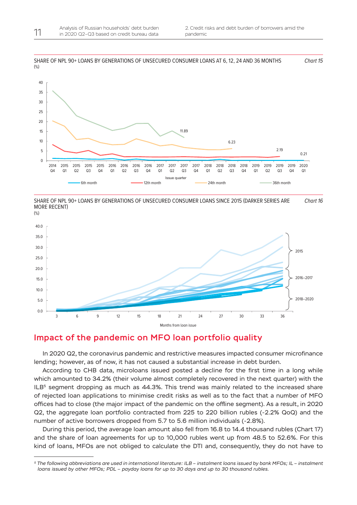

SHARE OF NPL 90+ LOANS BY GENERATIONS OF UNSECURED CONSUMER LOANS SINCE 2015 (DARKER SERIES ARE MORE RECENT) *Chart 16*





### Impact of the pandemic on MFO loan portfolio quality

In 2020 Q2, the coronavirus pandemic and restrictive measures impacted consumer microfinance lending; however, as of now, it has not caused a substantial increase in debt burden.

According to CHB data, microloans issued posted a decline for the first time in a long while which amounted to 34.2% (their volume almost completely recovered in the next quarter) with the  $ILB<sup>5</sup>$  segment dropping as much as 44.3%. This trend was mainly related to the increased share of rejected loan applications to minimise credit risks as well as to the fact that a number of MFO offices had to close (the major impact of the pandemic on the offline segment). As a result, in 2020 Q2, the aggregate loan portfolio contracted from 225 to 220 billion rubles (-2.2% QoQ) and the number of active borrowers dropped from 5.7 to 5.6 million individuals (-2.8%).

During this period, the average loan amount also fell from 16.8 to 14.4 thousand rubles (Chart 17) and the share of loan agreements for up to 10,000 rubles went up from 48.5 to 52.6%. For this kind of loans, MFOs are not obliged to calculate the DTI and, consequently, they do not have to

<span id="page-11-0"></span>

*<sup>5</sup> The following abbreviations are used in international literature: ILB – instalment loans issued by bank MFOs; IL – instalment loans issued by other MFOs; PDL – payday loans for up to 30 days and up to 30 thousand rubles.*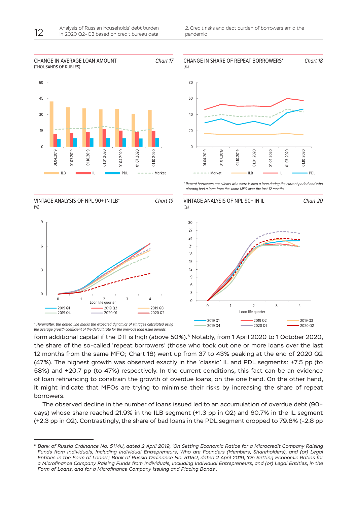2019 Q4 2020 Q1 2020 Q2



*\* Hereinafter, the dotted line marks the expected dynamics of vintages calculated using*  the average growth coefficient of the default rate for the previous loan issue periods.

form additional capital if the DTI is high (above 50%).<sup>6</sup> Notably, from 1 April 2020 to 1 October 2020, the share of the so-called 'repeat borrowers' (those who took out one or more loans over the last 12 months from the same MFO; Chart 18) went up from 37 to 43% peaking at the end of 2020 Q2 (47%). The highest growth was observed exactly in the 'classic' IL and PDL segments: +7.5 pp (to 58%) and +20.7 pp (to 47%) respectively. In the current conditions, this fact can be an evidence of loan refinancing to constrain the growth of overdue loans, on the one hand. On the other hand, it might indicate that MFOs are trying to minimise their risks by increasing the share of repeat borrowers.

The observed decline in the number of loans issued led to an accumulation of overdue debt (90+ days) whose share reached 21.9% in the ILB segment (+1.3 pp in Q2) and 60.7% in the IL segment (+2.3 pp in Q2). Contrastingly, the share of bad loans in the PDL segment dropped to 79.8% (-2.8 pp

*<sup>6</sup> Bank of Russia Ordinance No. 5114U, dated 2 April 2019, 'On Setting Economic Ratios for a Microcredit Company Raising Funds from Individuals, Including Individual Entrepreneurs, Who are Founders (Members, Shareholders), and (or) Legal Entities in the Form of Loans'; Bank of Russia Ordinance No. 5115U, dated 2 April 2019, 'On Setting Economic Ratios for a Microfinance Company Raising Funds from Individuals, Including Individual Entrepreneurs, and (or) Legal Entities, in the Form of Loans, and for a Microfinance Company Issuing and Placing Bonds'.*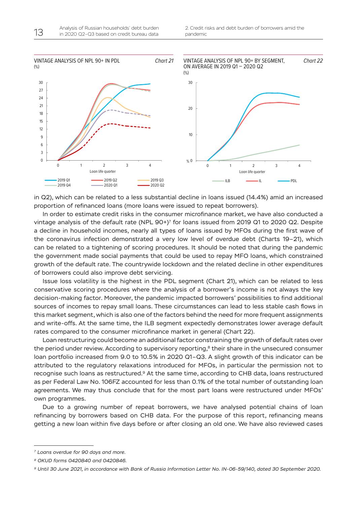

in Q2), which can be related to a less substantial decline in loans issued (14.4%) amid an increased proportion of refinanced loans (more loans were issued to repeat borrowers).

In order to estimate credit risks in the consumer microfinance market, we have also conducted a vintage analysis of the default rate (NPL 90+)7 for loans issued from 2019 Q1 to 2020 Q2. Despite a decline in household incomes, nearly all types of loans issued by MFOs during the first wave of the coronavirus infection demonstrated a very low level of overdue debt (Charts 19–21), which can be related to a tightening of scoring procedures. It should be noted that during the pandemic the government made social payments that could be used to repay MFO loans, which constrained growth of the default rate. The countrywide lockdown and the related decline in other expenditures of borrowers could also improve debt servicing.

Issue loss volatility is the highest in the PDL segment (Chart 21), which can be related to less conservative scoring procedures where the analysis of a borrower's income is not always the key decision-making factor. Moreover, the pandemic impacted borrowers' possibilities to find additional sources of incomes to repay small loans. These circumstances can lead to less stable cash flows in this market segment, which is also one of the factors behind the need for more frequent assignments and write-offs. At the same time, the ILB segment expectedly demonstrates lower average default rates compared to the consumer microfinance market in general (Chart 22).

Loan restructuring could become an additional factor constraining the growth of default rates over the period under review. According to supervisory reporting,<sup>8</sup> their share in the unsecured consumer loan portfolio increased from 9.0 to 10.5% in 2020 Q1–Q3. A slight growth of this indicator can be attributed to the regulatory relaxations introduced for MFOs, in particular the permission not to recognise such loans as restructured.<sup>9</sup> At the same time, according to CHB data, loans restructured as per Federal Law No. 106FZ accounted for less than 0.1% of the total number of outstanding loan agreements. We may thus conclude that for the most part loans were restructured under MFOs' own programmes.

Due to a growing number of repeat borrowers, we have analysed potential chains of loan refinancing by borrowers based on CHB data. For the purpose of this report, refinancing means getting a new loan within five days before or after closing an old one. We have also reviewed cases

*<sup>7</sup> Loans overdue for 90 days and more.*

*<sup>8</sup> OKUD forms 0420840 and 0420846.*

*<sup>9</sup> Until 30 June 2021, in accordance with Bank of Russia Information Letter No. IN-06-59/140, dated 30 September 2020.*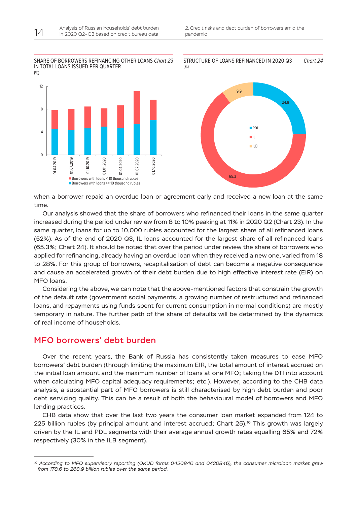#### <span id="page-14-0"></span>SHARE OF BORROWERS REFINANCING OTHER LOANS *Chart 23* IN TOTAL LOANS ISSUED PER QUARTER  $($ % $)$ STRUCTURE OF LOANS REFINANCED IN 2020 Q3





*Chart 24*

when a borrower repaid an overdue loan or agreement early and received a new loan at the same time.

Our analysis showed that the share of borrowers who refinanced their loans in the same quarter increased during the period under review from 8 to 10% peaking at 11% in 2020 Q2 (Chart 23). In the same quarter, loans for up to 10,000 rubles accounted for the largest share of all refinanced loans (52%). As of the end of 2020 Q3, IL loans accounted for the largest share of all refinanced loans (65.3%; Chart 24). It should be noted that over the period under review the share of borrowers who applied for refinancing, already having an overdue loan when they received a new one, varied from 18 to 28%. For this group of borrowers, recapitalisation of debt can become a negative consequence and cause an accelerated growth of their debt burden due to high effective interest rate (EIR) on MFO loans.

Considering the above, we can note that the above-mentioned factors that constrain the growth of the default rate (government social payments, a growing number of restructured and refinanced loans, and repayments using funds spent for current consumption in normal conditions) are mostly temporary in nature. The further path of the share of defaults will be determined by the dynamics of real income of households.

### MFO borrowers' debt burden

Over the recent years, the Bank of Russia has consistently taken measures to ease MFO borrowers' debt burden (through limiting the maximum EIR, the total amount of interest accrued on the initial loan amount and the maximum number of loans at one MFO; taking the DTI into account when calculating MFO capital adequacy requirements; etc.). However, according to the CHB data analysis, a substantial part of MFO borrowers is still characterised by high debt burden and poor debt servicing quality. This can be a result of both the behavioural model of borrowers and MFO lending practices.

CHB data show that over the last two years the consumer loan market expanded from 124 to 225 billion rubles (by principal amount and interest accrued; Chart  $25$ ).<sup>10</sup> This growth was largely driven by the IL and PDL segments with their average annual growth rates equalling 65% and 72% respectively (30% in the ILB segment).

*<sup>10</sup> According to MFO supervisory reporting (OKUD forms 0420840 and 0420846), the consumer microloan market grew from 178.6 to 268.9 billion rubles over the same period.*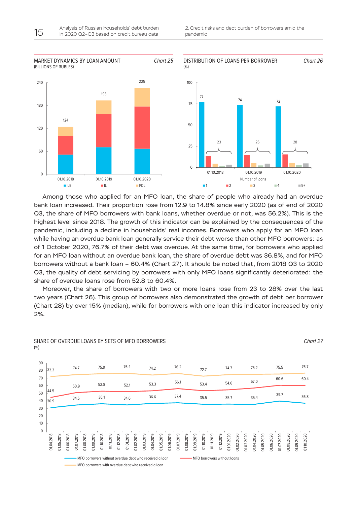2. Credit risks and debt burden of borrowers amid the pandemic



Among those who applied for an MFO loan, the share of people who already had an overdue bank loan increased. Their proportion rose from 12.9 to 14.8% since early 2020 (as of end of 2020 Q3, the share of MFO borrowers with bank loans, whether overdue or not, was 56.2%). This is the highest level since 2018. The growth of this indicator can be explained by the consequences of the pandemic, including a decline in households' real incomes. Borrowers who apply for an MFO loan while having an overdue bank loan generally service their debt worse than other MFO borrowers: as of 1 October 2020, 76.7% of their debt was overdue. At the same time, for borrowers who applied for an MFO loan without an overdue bank loan, the share of overdue debt was 36.8%, and for MFO borrowers without a bank loan – 60.4% (Chart 27). It should be noted that, from 2018 Q3 to 2020 Q3, the quality of debt servicing by borrowers with only MFO loans significantly deteriorated: the share of overdue loans rose from 52.8 to 60.4%.

Moreover, the share of borrowers with two or more loans rose from 23 to 28% over the last two years (Chart 26). This group of borrowers also demonstrated the growth of debt per borrower (Chart 28) by over 15% (median), while for borrowers with one loan this indicator increased by only 2%.

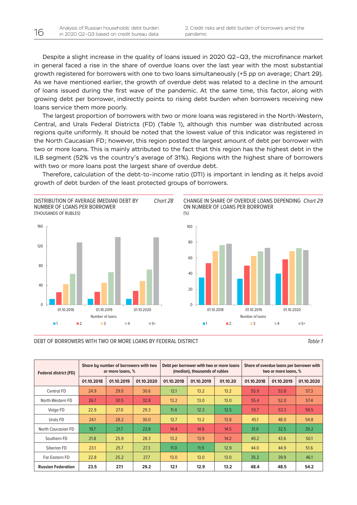Despite a slight increase in the quality of loans issued in 2020 Q2–Q3, the microfinance market in general faced a rise in the share of overdue loans over the last year with the most substantial growth registered for borrowers with one to two loans simultaneously (+5 pp on average; Chart 29). As we have mentioned earlier, the growth of overdue debt was related to a decline in the amount of loans issued during the first wave of the pandemic. At the same time, this factor, along with growing debt per borrower, indirectly points to rising debt burden when borrowers receiving new loans service them more poorly.

The largest proportion of borrowers with two or more loans was registered in the North-Western, Central, and Urals Federal Districts (FD) (Table 1), although this number was distributed across regions quite uniformly. It should be noted that the lowest value of this indicator was registered in the North Caucasian FD; however, this region posted the largest amount of debt per borrower with two or more loans. This is mainly attributed to the fact that this region has the highest debt in the ILB segment (52% vs the country's average of 31%). Regions with the highest share of borrowers with two or more loans post the largest share of overdue debt.

Therefore, calculation of the debt-to-income ratio (DTI) is important in lending as it helps avoid growth of debt burden of the least protected groups of borrowers.



CHANGE IN SHARE OF OVERDUE LOANS DEPENDING *Chart 29* ON NUMBER OF LOANS PER BORROWER



#### DEBT OF BORROWERS WITH TWO OR MORE LOANS BY FEDERAL DISTRICT *Table 1*

| <b>Federal district (FD)</b> | Share by number of borrowers with two<br>or more loans, % |            |            | Debt per borrower with two or more loans<br>(median), thousands of rubles |            |          | Share of overdue loans per borrower with<br>two or more loans, % |            |            |
|------------------------------|-----------------------------------------------------------|------------|------------|---------------------------------------------------------------------------|------------|----------|------------------------------------------------------------------|------------|------------|
|                              | 01.10.2018                                                | 01.10.2019 | 01.10.2020 | 01.10.2018                                                                | 01.10.2019 | 01.10.20 | 01.10.2018                                                       | 01.10.2019 | 01.10.2020 |
| Central FD                   | 24.9                                                      | 29.0       | 30.6       | 12.1                                                                      | 13.2       | 13.2     | 55.9                                                             | 53.8       | 57.3       |
| North-Western FD             | 26.7                                                      | 30.5       | 32.8       | 13.2                                                                      | 13.0       | 13.0     | 55.4                                                             | 52.0       | 57.4       |
| Volga FD                     | 22.9                                                      | 27.0       | 29.3       | 11.4                                                                      | 12.3       | 12.5     | 55.7                                                             | 53.3       | 59.5       |
| Urals FD                     | 24.1                                                      | 28.2       | 30.0       | 12.7                                                                      | 13.2       | 13.8     | 45.1                                                             | 48.0       | 54.8       |
| <b>North Caucasian FD</b>    | 19.7                                                      | 21.7       | 23.8       | 14.4                                                                      | 14.8       | 14.5     | 31.0                                                             | 32.5       | 39.2       |
| Southern FD                  | 21.8                                                      | 25.9       | 28.3       | 13.2                                                                      | 13.9       | 14.2     | 40.2                                                             | 43.6       | 50.1       |
| Siberian FD                  | 23.1                                                      | 25.7       | 27.3       | 11.0                                                                      | 11.9       | 12.9     | 44.0                                                             | 44.9       | 51.6       |
| Far Eastern FD               | 22.8                                                      | 25.2       | 27.7       | 13.0                                                                      | 13.0       | 13.0     | 35.2                                                             | 39.9       | 46.1       |
| <b>Russian Federation</b>    | 23.5                                                      | 27.1       | 29.2       | 12.1                                                                      | 12.9       | 13.2     | 48.4                                                             | 48.5       | 54.2       |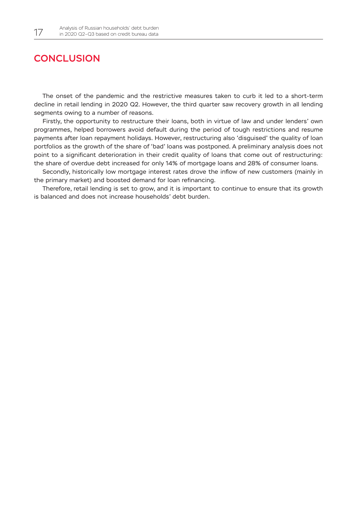## <span id="page-17-0"></span>**CONCLUSION**

The onset of the pandemic and the restrictive measures taken to curb it led to a short-term decline in retail lending in 2020 Q2. However, the third quarter saw recovery growth in all lending segments owing to a number of reasons.

Firstly, the opportunity to restructure their loans, both in virtue of law and under lenders' own programmes, helped borrowers avoid default during the period of tough restrictions and resume payments after loan repayment holidays. However, restructuring also 'disguised' the quality of loan portfolios as the growth of the share of 'bad' loans was postponed. A preliminary analysis does not point to a significant deterioration in their credit quality of loans that come out of restructuring: the share of overdue debt increased for only 14% of mortgage loans and 28% of consumer loans.

Secondly, historically low mortgage interest rates drove the inflow of new customers (mainly in the primary market) and boosted demand for loan refinancing.

Therefore, retail lending is set to grow, and it is important to continue to ensure that its growth is balanced and does not increase households' debt burden.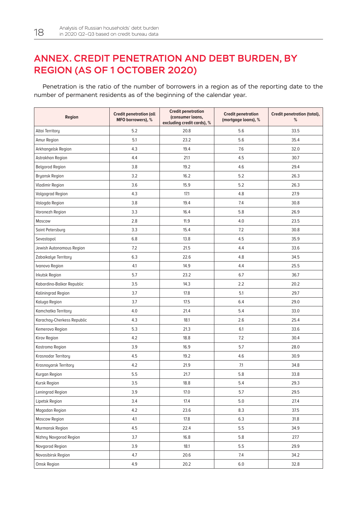## <span id="page-18-0"></span>ANNEX. CREDIT PENETRATION AND DEBT BURDEN, BY REGION (AS OF 1 OCTOBER 2020)

Penetration is the ratio of the number of borrowers in a region as of the reporting date to the number of permanent residents as of the beginning of the calendar year.

| Region                     | <b>Credit penetration (all</b><br>MFO borrowers), % | <b>Credit penetration</b><br>(consumer loans,<br>excluding credit cards), % | <b>Credit penetration</b><br>(mortgage loans), % | Credit penetration (total),<br>% |
|----------------------------|-----------------------------------------------------|-----------------------------------------------------------------------------|--------------------------------------------------|----------------------------------|
| Altai Territory            | 5.2                                                 | 20.8                                                                        | 5.6                                              | 33.5                             |
| Amur Region                | 5.1                                                 | 23.2                                                                        | 5.6                                              | 35.4                             |
| Arkhangelsk Region         | 4.3                                                 | 19.4                                                                        | 7.6                                              | 32.0                             |
| Astrakhan Region           | 4.4                                                 | 21.1                                                                        | 4.5                                              | 30.7                             |
| <b>Belgorod Region</b>     | 3.8                                                 | 19.2                                                                        | 4.6                                              | 29.4                             |
| <b>Bryansk Region</b>      | 3.2                                                 | 16.2                                                                        | 5.2                                              | 26.3                             |
| <b>Vladimir Region</b>     | 3.6                                                 | 15.9                                                                        | 5.2                                              | 26.3                             |
| <b>Volgograd Region</b>    | 4.3                                                 | 17.1                                                                        | 4.8                                              | 27.9                             |
| Vologda Region             | 3.8                                                 | 19.4                                                                        | 7.4                                              | 30.8                             |
| Voronezh Region            | 3.3                                                 | 16.4                                                                        | 5.8                                              | 26.9                             |
| Moscow                     | 2.8                                                 | 11.9                                                                        | 4.0                                              | 23.5                             |
| Saint Petersburg           | 3.3                                                 | 15.4                                                                        | 7.2                                              | 30.8                             |
| Sevastopol                 | 6.8                                                 | 13.8                                                                        | 4.5                                              | 35.9                             |
| Jewish Autonomous Region   | 7.2                                                 | 21.5                                                                        | 4.4                                              | 33.6                             |
| Zabaikalye Territory       | 6.3                                                 | 22.6                                                                        | 4.8                                              | 34.5                             |
| Ivanovo Region             | 4.1                                                 | 14.9                                                                        | 4.4                                              | 25.5                             |
| Irkutsk Region             | 5.7                                                 | 23.2                                                                        | 6.7                                              | 36.7                             |
| Kabardino-Balkar Republic  | 3.5                                                 | 14.3                                                                        | 2.2                                              | 20.2                             |
| Kaliningrad Region         | 3.7                                                 | 17.8                                                                        | 5.1                                              | 29.7                             |
| Kaluga Region              | 3.7                                                 | 17.5                                                                        | 6.4                                              | 29.0                             |
| Kamchatka Territory        | 4.0                                                 | 21.4                                                                        | 5.4                                              | 33.0                             |
| Karachay-Cherkess Republic | 4.3                                                 | 18.1                                                                        | 2.6                                              | 25.4                             |
| Kemerovo Region            | 5.3                                                 | 21.3                                                                        | 6.1                                              | 33.6                             |
| Kirov Region               | 4.2                                                 | 18.8                                                                        | 7.2                                              | 30.4                             |
| Kostroma Region            | 3.9                                                 | 16.9                                                                        | 5.7                                              | 28.0                             |
| Krasnodar Territory        | 4.5                                                 | 19.2                                                                        | 4.6                                              | 30.9                             |
| Krasnoyarsk Territory      | 4.2                                                 | 21.9                                                                        | 7.1                                              | 34.8                             |
| Kurgan Region              | 5.5                                                 | 21.7                                                                        | 5.8                                              | 33.8                             |
| Kursk Region               | 3.5                                                 | 18.8                                                                        | 5.4                                              | 29.3                             |
| Leningrad Region           | 3.9                                                 | 17.0                                                                        | 5.7                                              | 29.5                             |
| Lipetsk Region             | 3.4                                                 | 17.4                                                                        | 5.0                                              | 27.4                             |
| Magadan Region             | 4.2                                                 | 23.6                                                                        | 8.3                                              | 37.5                             |
| Moscow Region              | 4.1                                                 | 17.8                                                                        | 6.3                                              | 31.8                             |
| Murmansk Region            | 4.5                                                 | 22.4                                                                        | 5.5                                              | 34.9                             |
| Nizhny Novgorod Region     | 3.7                                                 | 16.8                                                                        | 5.8                                              | 27.7                             |
| Novgorod Region            | 3.9                                                 | 18.1                                                                        | 5.5                                              | 29.9                             |
| Novosibirsk Region         | 4.7                                                 | 20.6                                                                        | 7.4                                              | 34.2                             |
| Omsk Region                | 4.9                                                 | 20.2                                                                        | $6.0\,$                                          | 32.8                             |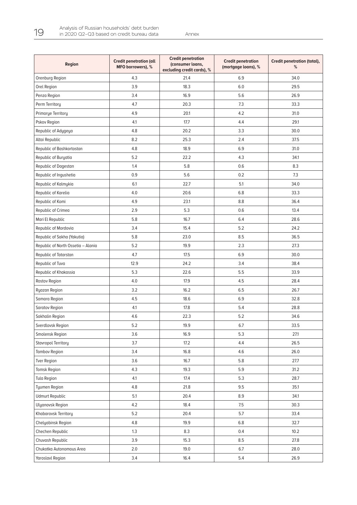| Region                             | <b>Credit penetration (all</b><br>MFO borrowers), % | <b>Credit penetration</b><br>(consumer loans,<br>excluding credit cards), % | <b>Credit penetration</b><br>(mortgage loans), % | Credit penetration (total),<br>% |
|------------------------------------|-----------------------------------------------------|-----------------------------------------------------------------------------|--------------------------------------------------|----------------------------------|
| Orenburg Region                    | 4.3                                                 | 21.4                                                                        | 6.9                                              | 34.0                             |
| Orel Region                        | 3.9                                                 | 18.3                                                                        | 6.0                                              | 29.5                             |
| Penza Region                       | 3.4                                                 | 16.9                                                                        | 5.6                                              | 26.9                             |
| Perm Territory                     | 4.7                                                 | 20.3                                                                        | 7.3                                              | 33.3                             |
| Primorye Territory                 | 4.9                                                 | 20.1                                                                        | 4.2                                              | 31.0                             |
| Pskov Region                       | 4.1                                                 | 17.7                                                                        | 4.4                                              | 29.1                             |
| Republic of Adygeya                | 4.8                                                 | 20.2                                                                        | 3.3                                              | 30.0                             |
| Altai Republic                     | 8.2                                                 | 25.3                                                                        | 2.4                                              | 37.5                             |
| Republic of Bashkortostan          | 4.8                                                 | 18.9                                                                        | 6.9                                              | 31.0                             |
| Republic of Buryatia               | 5.2                                                 | 22.2                                                                        | 4.3                                              | 34.1                             |
| Republic of Dagestan               | 1.4                                                 | 5.8                                                                         | 0.6                                              | 8.3                              |
| Republic of Ingushetia             | 0.9                                                 | 5.6                                                                         | 0.2                                              | 7.3                              |
| Republic of Kalmykia               | 6.1                                                 | 22.7                                                                        | 5.1                                              | 34.0                             |
| Republic of Karelia                | 4.0                                                 | 20.6                                                                        | 6.8                                              | 33.3                             |
| Republic of Komi                   | 4.9                                                 | 23.1                                                                        | 8.8                                              | 36.4                             |
| Republic of Crimea                 | 2.9                                                 | 5.3                                                                         | 0.6                                              | 13.4                             |
| Mari El Republic                   | 5.8                                                 | 16.7                                                                        | 6.4                                              | 28.6                             |
| Republic of Mordovia               | 3.4                                                 | 15.4                                                                        | 5.2                                              | 24.2                             |
| Republic of Sakha (Yakutia)        | 5.8                                                 | 23.0                                                                        | 8.5                                              | 36.5                             |
| Republic of North Ossetia - Alania | 5.2                                                 | 19.9                                                                        | 2.3                                              | 27.3                             |
| Republic of Tatarstan              | 4.7                                                 | 17.5                                                                        | 6.9                                              | 30.0                             |
| Republic of Tuva                   | 12.9                                                | 24.2                                                                        | 3.4                                              | 38.4                             |
| Republic of Khakassia              | 5.3                                                 | 22.6                                                                        | 5.5                                              | 33.9                             |
| Rostov Region                      | 4.0                                                 | 17.9                                                                        | 4.5                                              | 28.4                             |
| Ryazan Region                      | 3.2                                                 | 16.2                                                                        | 6.5                                              | 26.7                             |
| Samara Region                      | 4.5                                                 | 18.6                                                                        | 6.9                                              | 32.8                             |
| Saratov Region                     | 4.1                                                 | 17.8                                                                        | 5.4                                              | 28.8                             |
| Sakhalin Region                    | 4.6                                                 | 22.3                                                                        | 5.2                                              | 34.6                             |
| Sverdlovsk Region                  | 5.2                                                 | 19.9                                                                        | 6.7                                              | 33.5                             |
| Smolensk Region                    | 3.6                                                 | 16.9                                                                        | 5.3                                              | 27.1                             |
| Stavropol Territory                | 3.7                                                 | 17.2                                                                        | 4.4                                              | 26.5                             |
| <b>Tambov Region</b>               | 3.4                                                 | 16.8                                                                        | 4.6                                              | 26.0                             |
| <b>Tver Region</b>                 | 3.6                                                 | 16.7                                                                        | 5.8                                              | 27.7                             |
| Tomsk Region                       | 4.3                                                 | 19.3                                                                        | 5.9                                              | 31.2                             |
| Tula Region                        | 4.1                                                 | 17.4                                                                        | 5.3                                              | 28.7                             |
| Tyumen Region                      | 4.8                                                 | 21.8                                                                        | 9.5                                              | 35.1                             |
| <b>Udmurt Republic</b>             | 5.1                                                 | 20.4                                                                        | 8.9                                              | 34.1                             |
| Ulyanovsk Region                   | 4.2                                                 | 18.4                                                                        | 7.5                                              | 30.3                             |
| Khabarovsk Territory               | 5.2                                                 | 20.4                                                                        | 5.7                                              | 33.4                             |
| Chelyabinsk Region                 | 4.8                                                 | 19.9                                                                        | 6.8                                              | 32.7                             |
| Chechen Republic                   | 1.3                                                 | 8.3                                                                         | 0.4                                              | 10.2                             |
| Chuvash Republic                   | 3.9                                                 | 15.3                                                                        | 8.5                                              | 27.8                             |
| Chukotka Autonomous Area           | 2.0                                                 | 19.0                                                                        | 6.7                                              | 28.0                             |
| <b>Yaroslavl Region</b>            | 3.4                                                 | 16.4                                                                        | 5.4                                              | 26.9                             |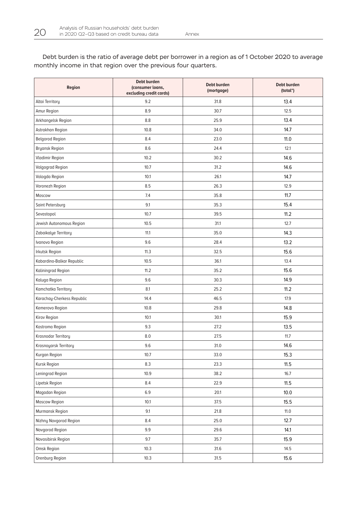**Region Debt burden (consumer loans, excluding credit cards) Debt burden (mortgage) Debt burden (total\*)** Altai Territory 9.2 31.8 13.4 Amur Region 8.9 30.7 12.5 Arkhangelsk Region 8.8 25.9 13.4 Astrakhan Region 10.8 34.0 14.7 Belgorod Region **8.4** 23.0 23.0 11.0 Bryansk Region 8.6 24.4 12.1 Vladimir Region 14.6 **10.2** 14.6 **10.2** 14.6 Volgograd Region 10.7 10.7 31.2 14.6 Vologda Region 10.1 26.1 14.7 Voronezh Region 12.9 26.3 12.9 26.3 12.9 Moscow 1.7.4 1.7.2  $\frac{35.8}{11.7}$  11.7 Saint Petersburg 9.1 35.3 15.4 Sevastopol 10.7 39.5 11.2 Jewish Autonomous Region 10.5 31.1 12.7 Zabaikalye Territory **11.1** 11.1 11.1 11.1 11.1 35.0 14.3 Ivanovo Region 9.6 28.4 13.2 Irkutsk Region 11.3 32.5 15.6 Kabardino-Balkar Republic 10.5 36.1 13.4 Kaliningrad Region 11.2 35.2 15.6 Kaluga Region 9.6 30.3 14.9 Kamchatka Territory 8.1 25.2 11.2 Karachay-Cherkess Republic 21.9 (and the chemical control of the chemical control of the chemical control of the chemical control of the chemical control of the chemical control of the chemical control of the chemical cont Kemerovo Region 14.8 **14.8** 29.8 14.8 Kirov Region 10.1 30.1 15.9 Kostroma Region 9.3 27.2 13.5 Krasnodar Territory **8.0** 27.5 27.5 11.7 Krasnoyarsk Territory 14.6 **31.0** 14.6 **14.6** Kurgan Region 10.7 33.0 15.3 Kursk Region 8.3 23.3 11.5 Leningrad Region 10.7 10.9 10.9 10.9 10.9 10.7 16.7 16.7 Lipetsk Region **11.5 11.5 11.5** Magadan Region 6.9 20.1 10.0 Moscow Region 10.1 37.5 15.5 Murmansk Region 11.0 Nizhny Novgorod Region 8.4 25.0 25.0 12.7 Novgorod Region 9.9 29.6 14.1 Novosibirsk Region 9.7 35.7 15.9 Omsk Region 10.3 31.6 14.5

Orenburg Region 10.3 31.5 15.6

Debt burden is the ratio of average debt per borrower in a region as of 1 October 2020 to average monthly income in that region over the previous four quarters.